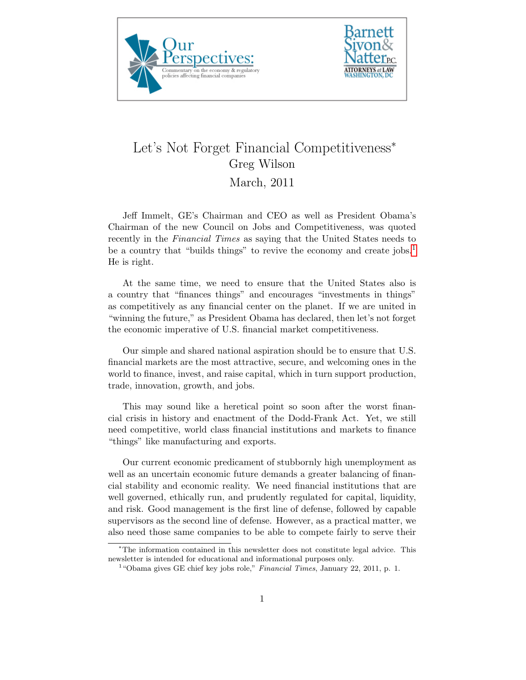



## Let's Not Forget Financial Competitiveness<sup>∗</sup> Greg Wilson March, 2011

Jeff Immelt, GE's Chairman and CEO as well as President Obama's Chairman of the new Council on Jobs and Competitiveness, was quoted recently in the Financial Times as saying that the United States needs to be a country that "builds things" to revive the economy and create jobs.<sup>[1](#page-0-0)</sup> He is right.

At the same time, we need to ensure that the United States also is a country that "finances things" and encourages "investments in things" as competitively as any financial center on the planet. If we are united in "winning the future," as President Obama has declared, then let's not forget the economic imperative of U.S. financial market competitiveness.

Our simple and shared national aspiration should be to ensure that U.S. financial markets are the most attractive, secure, and welcoming ones in the world to finance, invest, and raise capital, which in turn support production, trade, innovation, growth, and jobs.

This may sound like a heretical point so soon after the worst financial crisis in history and enactment of the Dodd-Frank Act. Yet, we still need competitive, world class financial institutions and markets to finance "things" like manufacturing and exports.

Our current economic predicament of stubbornly high unemployment as well as an uncertain economic future demands a greater balancing of financial stability and economic reality. We need financial institutions that are well governed, ethically run, and prudently regulated for capital, liquidity, and risk. Good management is the first line of defense, followed by capable supervisors as the second line of defense. However, as a practical matter, we also need those same companies to be able to compete fairly to serve their

<sup>∗</sup>The information contained in this newsletter does not constitute legal advice. This newsletter is intended for educational and informational purposes only.

<span id="page-0-0"></span><sup>&</sup>lt;sup>1</sup> "Obama gives GE chief key jobs role," Financial Times, January 22, 2011, p. 1.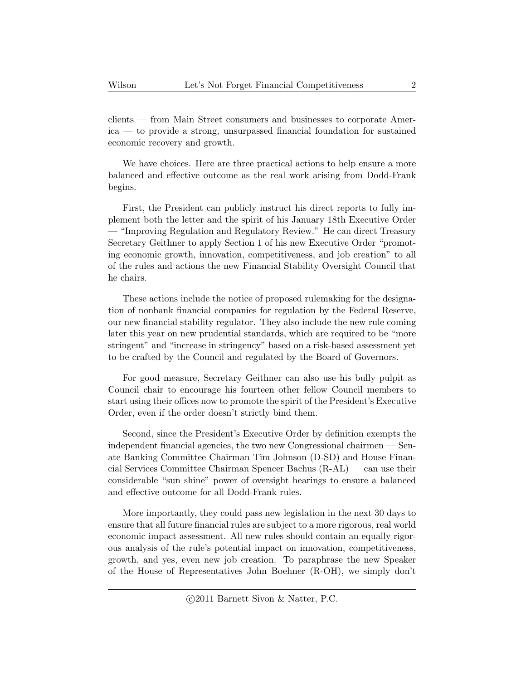clients — from Main Street consumers and businesses to corporate America — to provide a strong, unsurpassed financial foundation for sustained economic recovery and growth.

We have choices. Here are three practical actions to help ensure a more balanced and effective outcome as the real work arising from Dodd-Frank begins.

First, the President can publicly instruct his direct reports to fully implement both the letter and the spirit of his January 18th Executive Order — "Improving Regulation and Regulatory Review." He can direct Treasury Secretary Geithner to apply Section 1 of his new Executive Order "promoting economic growth, innovation, competitiveness, and job creation" to all of the rules and actions the new Financial Stability Oversight Council that he chairs.

These actions include the notice of proposed rulemaking for the designation of nonbank financial companies for regulation by the Federal Reserve, our new financial stability regulator. They also include the new rule coming later this year on new prudential standards, which are required to be "more stringent" and "increase in stringency" based on a risk-based assessment yet to be crafted by the Council and regulated by the Board of Governors.

For good measure, Secretary Geithner can also use his bully pulpit as Council chair to encourage his fourteen other fellow Council members to start using their offices now to promote the spirit of the President's Executive Order, even if the order doesn't strictly bind them.

Second, since the President's Executive Order by definition exempts the independent financial agencies, the two new Congressional chairmen — Senate Banking Committee Chairman Tim Johnson (D-SD) and House Financial Services Committee Chairman Spencer Bachus (R-AL) — can use their considerable "sun shine" power of oversight hearings to ensure a balanced and effective outcome for all Dodd-Frank rules.

More importantly, they could pass new legislation in the next 30 days to ensure that all future financial rules are subject to a more rigorous, real world economic impact assessment. All new rules should contain an equally rigorous analysis of the rule's potential impact on innovation, competitiveness, growth, and yes, even new job creation. To paraphrase the new Speaker of the House of Representatives John Boehner (R-OH), we simply don't

c 2011 Barnett Sivon & Natter, P.C.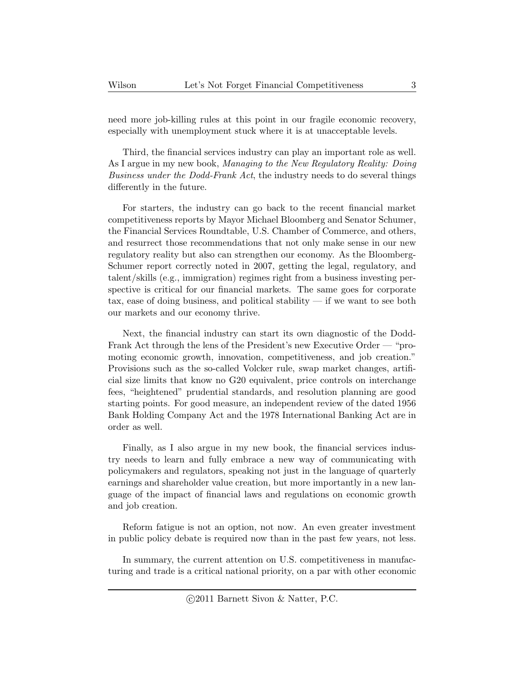need more job-killing rules at this point in our fragile economic recovery, especially with unemployment stuck where it is at unacceptable levels.

Third, the financial services industry can play an important role as well. As I argue in my new book, Managing to the New Regulatory Reality: Doing Business under the Dodd-Frank Act, the industry needs to do several things differently in the future.

For starters, the industry can go back to the recent financial market competitiveness reports by Mayor Michael Bloomberg and Senator Schumer, the Financial Services Roundtable, U.S. Chamber of Commerce, and others, and resurrect those recommendations that not only make sense in our new regulatory reality but also can strengthen our economy. As the Bloomberg-Schumer report correctly noted in 2007, getting the legal, regulatory, and talent/skills (e.g., immigration) regimes right from a business investing perspective is critical for our financial markets. The same goes for corporate tax, ease of doing business, and political stability — if we want to see both our markets and our economy thrive.

Next, the financial industry can start its own diagnostic of the Dodd-Frank Act through the lens of the President's new Executive Order — "promoting economic growth, innovation, competitiveness, and job creation." Provisions such as the so-called Volcker rule, swap market changes, artificial size limits that know no G20 equivalent, price controls on interchange fees, "heightened" prudential standards, and resolution planning are good starting points. For good measure, an independent review of the dated 1956 Bank Holding Company Act and the 1978 International Banking Act are in order as well.

Finally, as I also argue in my new book, the financial services industry needs to learn and fully embrace a new way of communicating with policymakers and regulators, speaking not just in the language of quarterly earnings and shareholder value creation, but more importantly in a new language of the impact of financial laws and regulations on economic growth and job creation.

Reform fatigue is not an option, not now. An even greater investment in public policy debate is required now than in the past few years, not less.

In summary, the current attention on U.S. competitiveness in manufacturing and trade is a critical national priority, on a par with other economic

c 2011 Barnett Sivon & Natter, P.C.